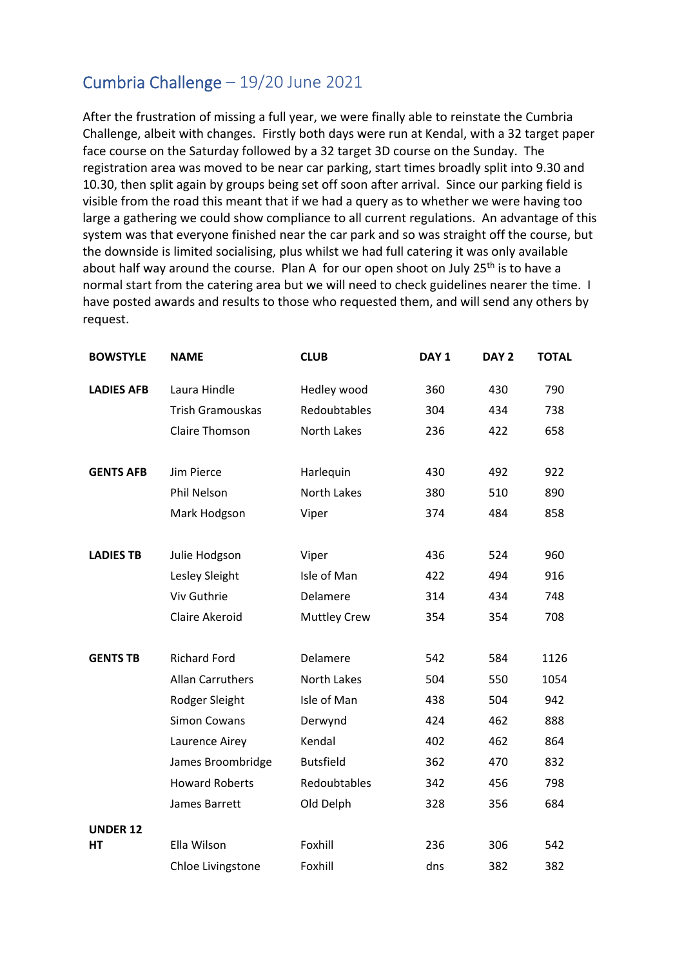## Cumbria Challenge – 19/20 June 2021

After the frustration of missing a full year, we were finally able to reinstate the Cumbria Challenge, albeit with changes. Firstly both days were run at Kendal, with a 32 target paper face course on the Saturday followed by a 32 target 3D course on the Sunday. The registration area was moved to be near car parking, start times broadly split into 9.30 and 10.30, then split again by groups being set off soon after arrival. Since our parking field is visible from the road this meant that if we had a query as to whether we were having too large a gathering we could show compliance to all current regulations. An advantage of this system was that everyone finished near the car park and so was straight off the course, but the downside is limited socialising, plus whilst we had full catering it was only available about half way around the course. Plan A for our open shoot on July 25<sup>th</sup> is to have a normal start from the catering area but we will need to check guidelines nearer the time. I have posted awards and results to those who requested them, and will send any others by request.

| <b>BOWSTYLE</b>   | <b>NAME</b>             | <b>CLUB</b>         | DAY <sub>1</sub> | DAY <sub>2</sub> | <b>TOTAL</b> |
|-------------------|-------------------------|---------------------|------------------|------------------|--------------|
| <b>LADIES AFB</b> | Laura Hindle            | Hedley wood         | 360              | 430              | 790          |
|                   | <b>Trish Gramouskas</b> | Redoubtables        | 304              | 434              | 738          |
|                   | <b>Claire Thomson</b>   | North Lakes         | 236              | 422              | 658          |
| <b>GENTS AFB</b>  | Jim Pierce              | Harlequin           | 430              | 492              | 922          |
|                   | Phil Nelson             | <b>North Lakes</b>  | 380              | 510              | 890          |
|                   | Mark Hodgson            | Viper               | 374              | 484              | 858          |
| <b>LADIES TB</b>  | Julie Hodgson           | Viper               | 436              | 524              | 960          |
|                   | Lesley Sleight          | Isle of Man         | 422              | 494              | 916          |
|                   | Viv Guthrie             | Delamere            | 314              | 434              | 748          |
|                   | <b>Claire Akeroid</b>   | <b>Muttley Crew</b> | 354              | 354              | 708          |
| <b>GENTS TB</b>   | <b>Richard Ford</b>     | Delamere            | 542              | 584              | 1126         |
|                   | <b>Allan Carruthers</b> | North Lakes         | 504              | 550              | 1054         |
|                   | Rodger Sleight          | Isle of Man         | 438              | 504              | 942          |
|                   | <b>Simon Cowans</b>     | Derwynd             | 424              | 462              | 888          |
|                   | Laurence Airey          | Kendal              | 402              | 462              | 864          |
|                   | James Broombridge       | <b>Butsfield</b>    | 362              | 470              | 832          |
|                   | <b>Howard Roberts</b>   | Redoubtables        | 342              | 456              | 798          |
|                   | James Barrett           | Old Delph           | 328              | 356              | 684          |
| <b>UNDER 12</b>   |                         |                     |                  |                  |              |
| HТ                | Ella Wilson             | Foxhill             | 236              | 306              | 542          |
|                   | Chloe Livingstone       | Foxhill             | dns              | 382              | 382          |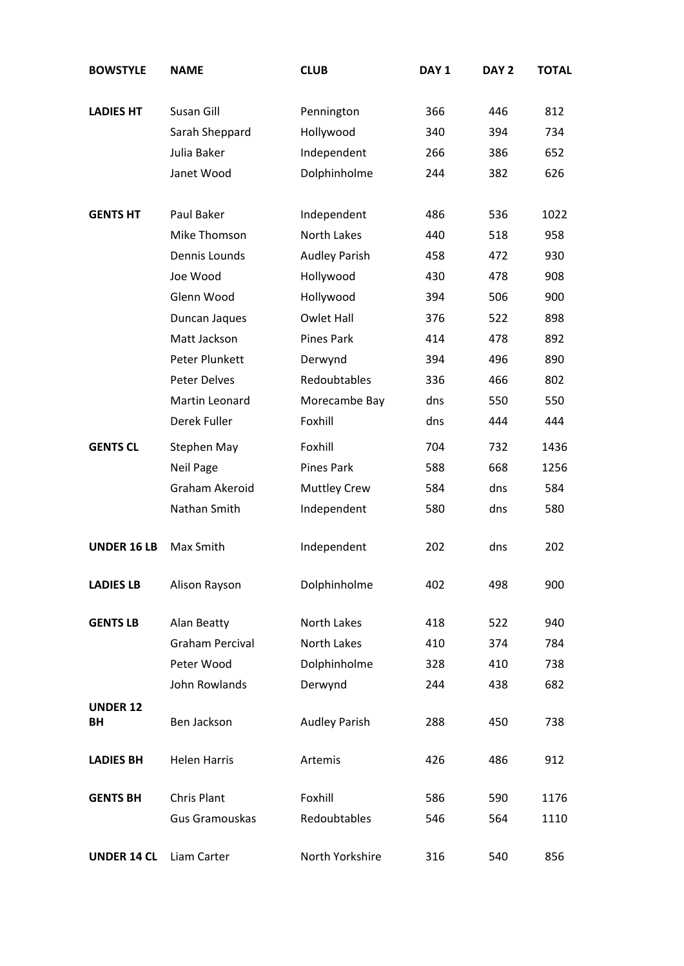| <b>BOWSTYLE</b>       | <b>NAME</b>            | <b>CLUB</b>          | DAY <sub>1</sub> | DAY <sub>2</sub> | <b>TOTAL</b> |
|-----------------------|------------------------|----------------------|------------------|------------------|--------------|
| <b>LADIES HT</b>      | Susan Gill             | Pennington           | 366              | 446              | 812          |
|                       | Sarah Sheppard         | Hollywood            | 340              | 394              | 734          |
|                       | Julia Baker            | Independent          | 266              | 386              | 652          |
|                       | Janet Wood             | Dolphinholme         | 244              | 382              | 626          |
| <b>GENTS HT</b>       | Paul Baker             | Independent          | 486              | 536              | 1022         |
|                       | Mike Thomson           | North Lakes          | 440              | 518              | 958          |
|                       | Dennis Lounds          | <b>Audley Parish</b> | 458              | 472              | 930          |
|                       | Joe Wood               | Hollywood            | 430              | 478              | 908          |
|                       | Glenn Wood             | Hollywood            | 394              | 506              | 900          |
|                       | Duncan Jaques          | Owlet Hall           | 376              | 522              | 898          |
|                       | Matt Jackson           | Pines Park           | 414              | 478              | 892          |
|                       | Peter Plunkett         | Derwynd              | 394              | 496              | 890          |
|                       | <b>Peter Delves</b>    | Redoubtables         | 336              | 466              | 802          |
|                       | Martin Leonard         | Morecambe Bay        | dns              | 550              | 550          |
|                       | Derek Fuller           | Foxhill              | dns              | 444              | 444          |
| <b>GENTS CL</b>       | Stephen May            | Foxhill              | 704              | 732              | 1436         |
|                       | <b>Neil Page</b>       | <b>Pines Park</b>    | 588              | 668              | 1256         |
|                       | Graham Akeroid         | <b>Muttley Crew</b>  | 584              | dns              | 584          |
|                       | Nathan Smith           | Independent          | 580              | dns              | 580          |
| <b>UNDER 16 LB</b>    | Max Smith              | Independent          | 202              | dns              | 202          |
| <b>LADIES LB</b>      | Alison Rayson          | Dolphinholme         | 402              | 498              | 900          |
| <b>GENTS LB</b>       | Alan Beatty            | North Lakes          | 418              | 522              | 940          |
|                       | <b>Graham Percival</b> | North Lakes          | 410              | 374              | 784          |
|                       | Peter Wood             | Dolphinholme         | 328              | 410              | 738          |
|                       | John Rowlands          | Derwynd              | 244              | 438              | 682          |
| <b>UNDER 12</b><br>BH | Ben Jackson            | <b>Audley Parish</b> | 288              | 450              | 738          |
| <b>LADIES BH</b>      | <b>Helen Harris</b>    | Artemis              | 426              | 486              | 912          |
| <b>GENTS BH</b>       | <b>Chris Plant</b>     | Foxhill              | 586              | 590              | 1176         |
|                       | <b>Gus Gramouskas</b>  | Redoubtables         | 546              | 564              | 1110         |
| <b>UNDER 14 CL</b>    | Liam Carter            | North Yorkshire      | 316              | 540              | 856          |